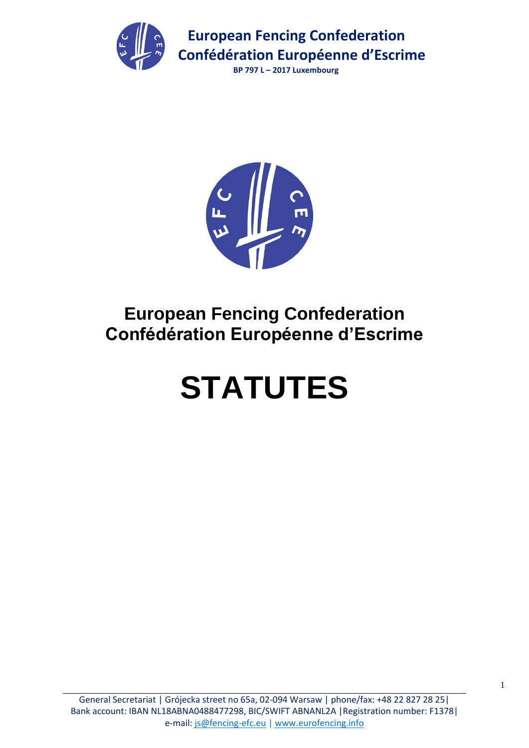

 **BP 797 L – 2017 Luxembourg**



# **European Fencing Confederation Confédération Européenne d'Escrime**

# **STATUTES**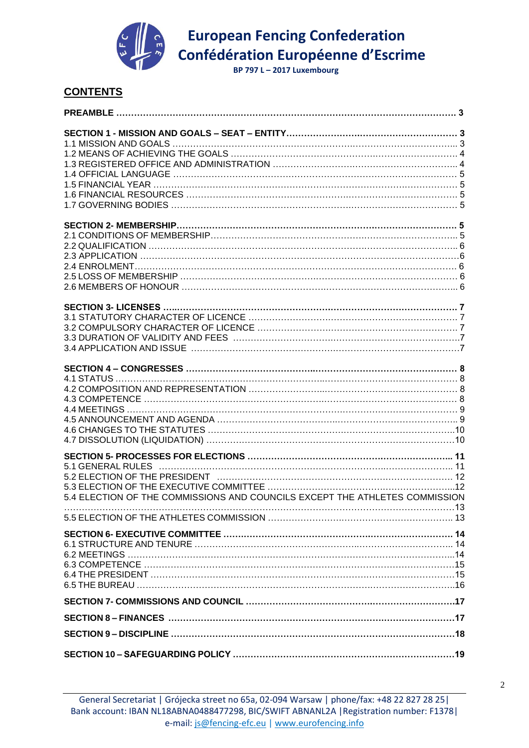

 **BP 797 L – 2017 Luxembourg**

# **CONTENTS**

| 5.4 ELECTION OF THE COMMISSIONS AND COUNCILS EXCEPT THE ATHLETES COMMISSION |  |
|-----------------------------------------------------------------------------|--|
|                                                                             |  |
|                                                                             |  |
|                                                                             |  |
|                                                                             |  |
|                                                                             |  |
|                                                                             |  |
|                                                                             |  |
|                                                                             |  |
|                                                                             |  |
|                                                                             |  |
|                                                                             |  |
|                                                                             |  |
|                                                                             |  |
|                                                                             |  |
|                                                                             |  |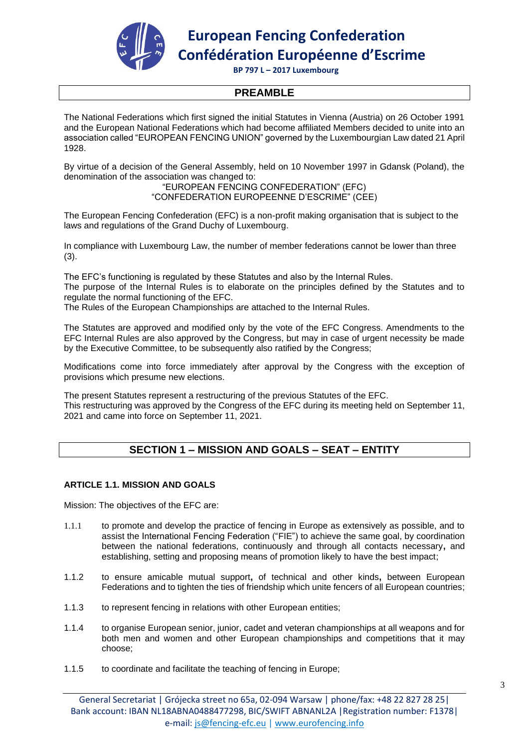

 **BP 797 L – 2017 Luxembourg**

# **PREAMBLE**

The National Federations which first signed the initial Statutes in Vienna (Austria) on 26 October 1991 and the European National Federations which had become affiliated Members decided to unite into an association called "EUROPEAN FENCING UNION" governed by the Luxembourgian Law dated 21 April 1928.

By virtue of a decision of the General Assembly, held on 10 November 1997 in Gdansk (Poland), the denomination of the association was changed to:

"EUROPEAN FENCING CONFEDERATION" (EFC) "CONFEDERATION EUROPEENNE D'ESCRIME" (CEE)

The European Fencing Confederation (EFC) is a non-profit making organisation that is subject to the laws and regulations of the Grand Duchy of Luxembourg.

In compliance with Luxembourg Law, the number of member federations cannot be lower than three (3).

The EFC's functioning is regulated by these Statutes and also by the Internal Rules.

The purpose of the Internal Rules is to elaborate on the principles defined by the Statutes and to regulate the normal functioning of the EFC.

The Rules of the European Championships are attached to the Internal Rules.

The Statutes are approved and modified only by the vote of the EFC Congress. Amendments to the EFC Internal Rules are also approved by the Congress, but may in case of urgent necessity be made by the Executive Committee, to be subsequently also ratified by the Congress;

Modifications come into force immediately after approval by the Congress with the exception of provisions which presume new elections.

The present Statutes represent a restructuring of the previous Statutes of the EFC. This restructuring was approved by the Congress of the EFC during its meeting held on September 11, 2021 and came into force on September 11, 2021.

# **SECTION 1 – MISSION AND GOALS – SEAT – ENTITY**

# **ARTICLE 1.1. MISSION AND GOALS**

Mission: The objectives of the EFC are:

- 1.1.1 to promote and develop the practice of fencing in Europe as extensively as possible, and to assist the International Fencing Federation ("FIE") to achieve the same goal, by coordination between the national federations, continuously and through all contacts necessary**,** and establishing, setting and proposing means of promotion likely to have the best impact;
- 1.1.2 to ensure amicable mutual support**,** of technical and other kinds**,** between European Federations and to tighten the ties of friendship which unite fencers of all European countries;
- 1.1.3 to represent fencing in relations with other European entities;
- 1.1.4 to organise European senior, junior, cadet and veteran championships at all weapons and for both men and women and other European championships and competitions that it may choose;
- 1.1.5 to coordinate and facilitate the teaching of fencing in Europe;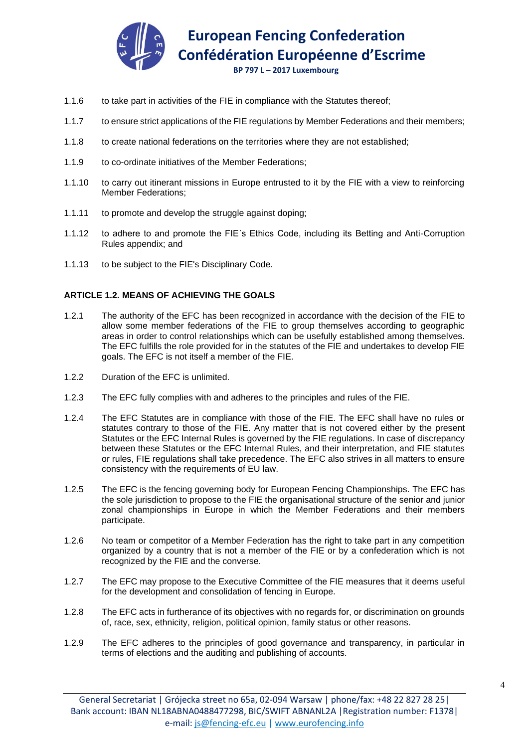

 **BP 797 L – 2017 Luxembourg**

- 1.1.6 to take part in activities of the FIE in compliance with the Statutes thereof;
- 1.1.7 to ensure strict applications of the FIE regulations by Member Federations and their members;
- 1.1.8 to create national federations on the territories where they are not established;
- 1.1.9 to co-ordinate initiatives of the Member Federations;
- 1.1.10 to carry out itinerant missions in Europe entrusted to it by the FIE with a view to reinforcing Member Federations;
- 1.1.11 to promote and develop the struggle against doping;
- 1.1.12 to adhere to and promote the FIE´s Ethics Code, including its Betting and Anti-Corruption Rules appendix; and
- 1.1.13 to be subject to the FIE's Disciplinary Code*.*

#### **ARTICLE 1.2. MEANS OF ACHIEVING THE GOALS**

- 1.2.1 The authority of the EFC has been recognized in accordance with the decision of the FIE to allow some member federations of the FIE to group themselves according to geographic areas in order to control relationships which can be usefully established among themselves. The EFC fulfills the role provided for in the statutes of the FIE and undertakes to develop FIE goals. The EFC is not itself a member of the FIE.
- 1.2.2 Duration of the EFC is unlimited.
- 1.2.3 The EFC fully complies with and adheres to the principles and rules of the FIE.
- 1.2.4 The EFC Statutes are in compliance with those of the FIE. The EFC shall have no rules or statutes contrary to those of the FIE. Any matter that is not covered either by the present Statutes or the EFC Internal Rules is governed by the FIE regulations. In case of discrepancy between these Statutes or the EFC Internal Rules, and their interpretation, and FIE statutes or rules, FIE regulations shall take precedence. The EFC also strives in all matters to ensure consistency with the requirements of EU law.
- 1.2.5 The EFC is the fencing governing body for European Fencing Championships. The EFC has the sole jurisdiction to propose to the FIE the organisational structure of the senior and junior zonal championships in Europe in which the Member Federations and their members participate.
- 1.2.6 No team or competitor of a Member Federation has the right to take part in any competition organized by a country that is not a member of the FIE or by a confederation which is not recognized by the FIE and the converse.
- 1.2.7 The EFC may propose to the Executive Committee of the FIE measures that it deems useful for the development and consolidation of fencing in Europe.
- 1.2.8 The EFC acts in furtherance of its objectives with no regards for, or discrimination on grounds of, race, sex, ethnicity, religion, political opinion, family status or other reasons.
- 1.2.9 The EFC adheres to the principles of good governance and transparency, in particular in terms of elections and the auditing and publishing of accounts.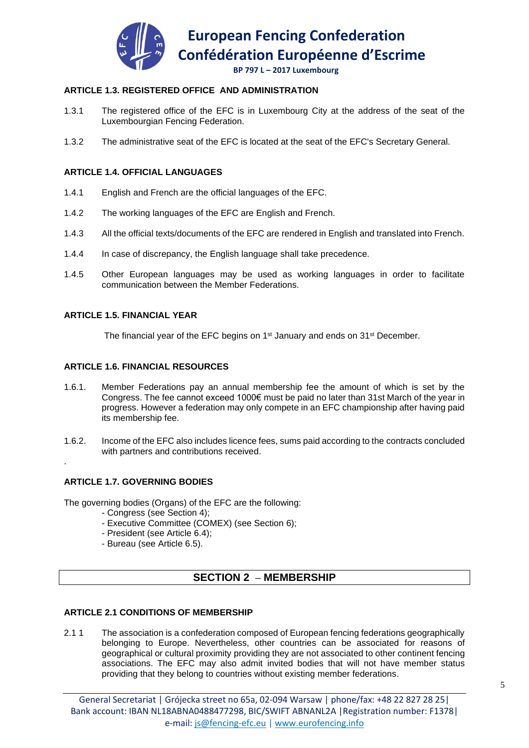

# **ARTICLE 1.3. REGISTERED OFFICE AND ADMINISTRATION**

- 1.3.1 The registered office of the EFC is in Luxembourg City at the address of the seat of the Luxembourgian Fencing Federation.
- 1.3.2 The administrative seat of the EFC is located at the seat of the EFC's Secretary General.

#### **ARTICLE 1.4. OFFICIAL LANGUAGES**

- 1.4.1 English and French are the official languages of the EFC.
- 1.4.2 The working languages of the EFC are English and French.
- 1.4.3 All the official texts/documents of the EFC are rendered in English and translated into French.
- 1.4.4 In case of discrepancy, the English language shall take precedence.
- 1.4.5 Other European languages may be used as working languages in order to facilitate communication between the Member Federations.

#### **ARTICLE 1.5. FINANCIAL YEAR**

The financial year of the EFC begins on 1<sup>st</sup> January and ends on 31<sup>st</sup> December.

#### **ARTICLE 1.6. FINANCIAL RESOURCES**

- 1.6.1. Member Federations pay an annual membership fee the amount of which is set by the Congress. The fee cannot exceed 1000€ must be paid no later than 31st March of the year in progress. However a federation may only compete in an EFC championship after having paid its membership fee.
- 1.6.2. Income of the EFC also includes licence fees, sums paid according to the contracts concluded with partners and contributions received.

# **ARTICLE 1.7. GOVERNING BODIES**

.

The governing bodies (Organs) of the EFC are the following:

- Congress (see Section 4);
- Executive Committee (COMEX) (see Section 6);
- President (see Article 6.4);
- Bureau (see Article 6.5).

# **SECTION 2 – MEMBERSHIP**

# **ARTICLE 2.1 CONDITIONS OF MEMBERSHIP**

2.1 1 The association is a confederation composed of European fencing federations geographically belonging to Europe. Nevertheless, other countries can be associated for reasons of geographical or cultural proximity providing they are not associated to other continent fencing associations. The EFC may also admit invited bodies that will not have member status providing that they belong to countries without existing member federations.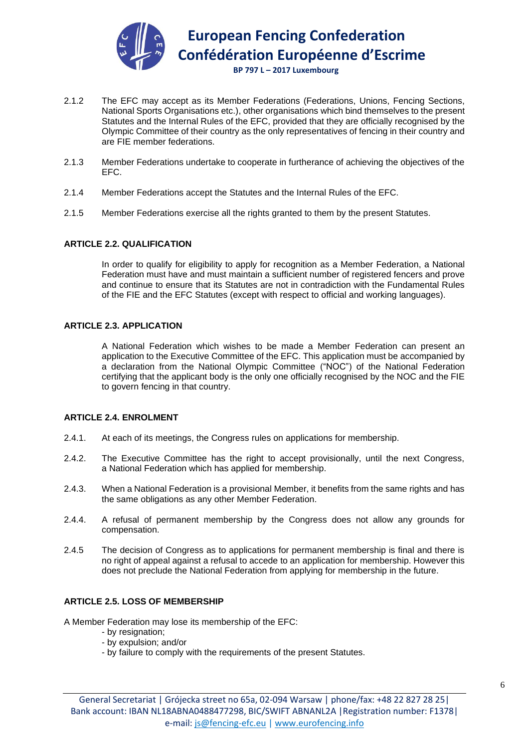

- 2.1.2 The EFC may accept as its Member Federations (Federations, Unions, Fencing Sections, National Sports Organisations etc.), other organisations which bind themselves to the present Statutes and the Internal Rules of the EFC, provided that they are officially recognised by the Olympic Committee of their country as the only representatives of fencing in their country and are FIE member federations.
- 2.1.3 Member Federations undertake to cooperate in furtherance of achieving the objectives of the EFC.
- 2.1.4 Member Federations accept the Statutes and the Internal Rules of the EFC.
- 2.1.5 Member Federations exercise all the rights granted to them by the present Statutes.

#### **ARTICLE 2.2. QUALIFICATION**

In order to qualify for eligibility to apply for recognition as a Member Federation, a National Federation must have and must maintain a sufficient number of registered fencers and prove and continue to ensure that its Statutes are not in contradiction with the Fundamental Rules of the FIE and the EFC Statutes (except with respect to official and working languages).

#### **ARTICLE 2.3. APPLICATION**

A National Federation which wishes to be made a Member Federation can present an application to the Executive Committee of the EFC. This application must be accompanied by a declaration from the National Olympic Committee ("NOC") of the National Federation certifying that the applicant body is the only one officially recognised by the NOC and the FIE to govern fencing in that country.

# **ARTICLE 2.4. ENROLMENT**

- 2.4.1. At each of its meetings, the Congress rules on applications for membership.
- 2.4.2. The Executive Committee has the right to accept provisionally, until the next Congress, a National Federation which has applied for membership.
- 2.4.3. When a National Federation is a provisional Member, it benefits from the same rights and has the same obligations as any other Member Federation.
- 2.4.4. A refusal of permanent membership by the Congress does not allow any grounds for compensation.
- 2.4.5 The decision of Congress as to applications for permanent membership is final and there is no right of appeal against a refusal to accede to an application for membership. However this does not preclude the National Federation from applying for membership in the future.

#### **ARTICLE 2.5. LOSS OF MEMBERSHIP**

A Member Federation may lose its membership of the EFC:

- by resignation;
- by expulsion; and/or
- by failure to comply with the requirements of the present Statutes.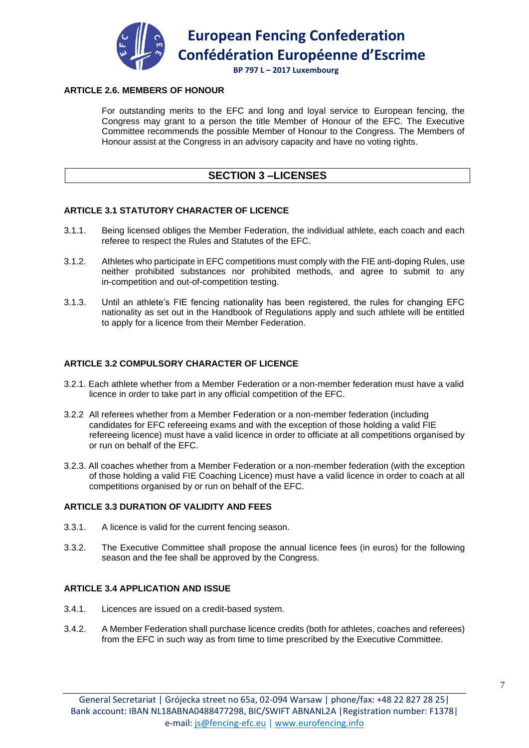

#### **BP 797 L – 2017 Luxembourg**

# **ARTICLE 2.6. MEMBERS OF HONOUR**

For outstanding merits to the EFC and long and loyal service to European fencing, the Congress may grant to a person the title Member of Honour of the EFC. The Executive Committee recommends the possible Member of Honour to the Congress. The Members of Honour assist at the Congress in an advisory capacity and have no voting rights.

# **SECTION 3 –LICENSES**

# **ARTICLE 3.1 STATUTORY CHARACTER OF LICENCE**

- 3.1.1. Being licensed obliges the Member Federation, the individual athlete, each coach and each referee to respect the Rules and Statutes of the EFC.
- 3.1.2. Athletes who participate in EFC competitions must comply with the FIE anti-doping Rules, use neither prohibited substances nor prohibited methods, and agree to submit to any in-competition and out-of-competition testing.
- 3.1.3. Until an athlete's FIE fencing nationality has been registered, the rules for changing EFC nationality as set out in the Handbook of Regulations apply and such athlete will be entitled to apply for a licence from their Member Federation.

# **ARTICLE 3.2 COMPULSORY CHARACTER OF LICENCE**

- 3.2.1. Each athlete whether from a Member Federation or a non-member federation must have a valid licence in order to take part in any official competition of the EFC.
- 3.2.2 All referees whether from a Member Federation or a non-member federation (including candidates for EFC refereeing exams and with the exception of those holding a valid FIE refereeing licence) must have a valid licence in order to officiate at all competitions organised by or run on behalf of the EFC.
- 3.2.3. All coaches whether from a Member Federation or a non-member federation (with the exception of those holding a valid FIE Coaching Licence) must have a valid licence in order to coach at all competitions organised by or run on behalf of the EFC.

# **ARTICLE 3.3 DURATION OF VALIDITY AND FEES**

- 3.3.1. A licence is valid for the current fencing season.
- 3.3.2. The Executive Committee shall propose the annual licence fees (in euros) for the following season and the fee shall be approved by the Congress.

# **ARTICLE 3.4 APPLICATION AND ISSUE**

- 3.4.1. Licences are issued on a credit-based system.
- 3.4.2. A Member Federation shall purchase licence credits (both for athletes, coaches and referees) from the EFC in such way as from time to time prescribed by the Executive Committee.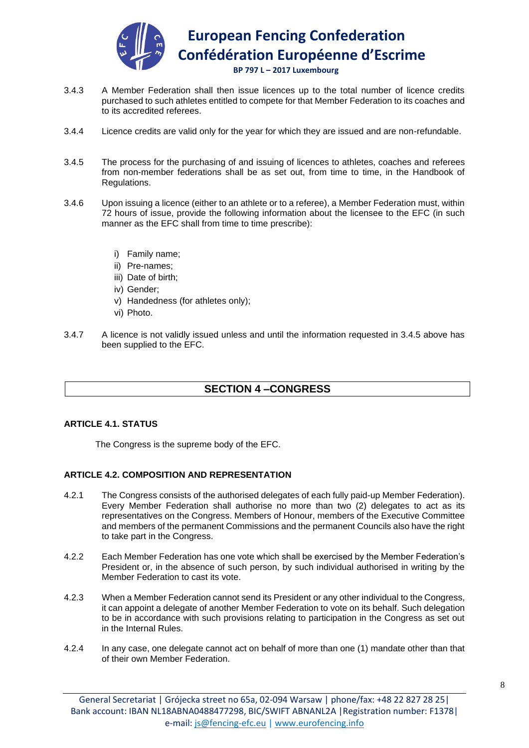

- 3.4.3 A Member Federation shall then issue licences up to the total number of licence credits purchased to such athletes entitled to compete for that Member Federation to its coaches and to its accredited referees.
- 3.4.4 Licence credits are valid only for the year for which they are issued and are non-refundable.
- 3.4.5 The process for the purchasing of and issuing of licences to athletes, coaches and referees from non-member federations shall be as set out, from time to time, in the Handbook of Regulations.
- 3.4.6 Upon issuing a licence (either to an athlete or to a referee), a Member Federation must, within 72 hours of issue, provide the following information about the licensee to the EFC (in such manner as the EFC shall from time to time prescribe):
	- i) Family name;
	- ii) Pre-names;
	- iii) Date of birth;
	- iv) Gender;
	- v) Handedness (for athletes only);
	- vi) Photo.
- 3.4.7 A licence is not validly issued unless and until the information requested in 3.4.5 above has been supplied to the EFC.

# **SECTION 4 –CONGRESS**

# **ARTICLE 4.1. STATUS**

The Congress is the supreme body of the EFC.

# **ARTICLE 4.2. COMPOSITION AND REPRESENTATION**

- 4.2.1 The Congress consists of the authorised delegates of each fully paid-up Member Federation). Every Member Federation shall authorise no more than two (2) delegates to act as its representatives on the Congress. Members of Honour, members of the Executive Committee and members of the permanent Commissions and the permanent Councils also have the right to take part in the Congress.
- 4.2.2 Each Member Federation has one vote which shall be exercised by the Member Federation's President or, in the absence of such person, by such individual authorised in writing by the Member Federation to cast its vote.
- 4.2.3 When a Member Federation cannot send its President or any other individual to the Congress, it can appoint a delegate of another Member Federation to vote on its behalf. Such delegation to be in accordance with such provisions relating to participation in the Congress as set out in the Internal Rules.
- 4.2.4 In any case, one delegate cannot act on behalf of more than one (1) mandate other than that of their own Member Federation.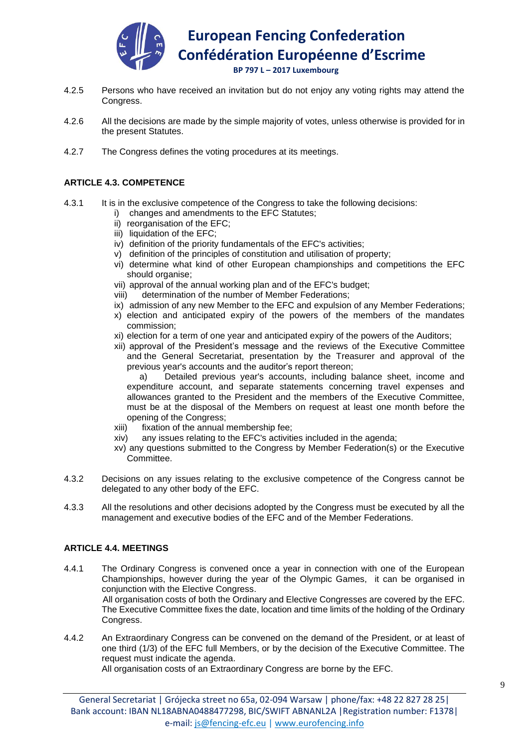

- 4.2.5 Persons who have received an invitation but do not enjoy any voting rights may attend the Congress.
- 4.2.6 All the decisions are made by the simple majority of votes, unless otherwise is provided for in the present Statutes.
- 4.2.7 The Congress defines the voting procedures at its meetings.

# **ARTICLE 4.3. COMPETENCE**

- 4.3.1 It is in the exclusive competence of the Congress to take the following decisions:
	- i) changes and amendments to the EFC Statutes;
	- ii) reorganisation of the EFC;
	- iii) liquidation of the EFC;
	- iv) definition of the priority fundamentals of the EFC's activities;
	- v) definition of the principles of constitution and utilisation of property;
	- vi) determine what kind of other European championships and competitions the EFC should organise;
	- vii) approval of the annual working plan and of the EFC's budget;
	- viii) determination of the number of Member Federations;
	- ix) admission of any new Member to the EFC and expulsion of any Member Federations;
	- x) election and anticipated expiry of the powers of the members of the mandates commission;
	- xi) election for a term of one year and anticipated expiry of the powers of the Auditors;
	- xii) approval of the President's message and the reviews of the Executive Committee and the General Secretariat, presentation by the Treasurer and approval of the previous year's accounts and the auditor's report thereon;

a) Detailed previous year's accounts, including balance sheet, income and expenditure account, and separate statements concerning travel expenses and allowances granted to the President and the members of the Executive Committee, must be at the disposal of the Members on request at least one month before the opening of the Congress;

- xiii) fixation of the annual membership fee;
- xiv) any issues relating to the EFC's activities included in the agenda;
- xv) any questions submitted to the Congress by Member Federation(s) or the Executive Committee.
- 4.3.2 Decisions on any issues relating to the exclusive competence of the Congress cannot be delegated to any other body of the EFC.
- 4.3.3 All the resolutions and other decisions adopted by the Congress must be executed by all the management and executive bodies of the EFC and of the Member Federations.

# **ARTICLE 4.4. MEETINGS**

- 4.4.1 The Ordinary Congress is convened once a year in connection with one of the European Championships, however during the year of the Olympic Games, it can be organised in conjunction with the Elective Congress. All organisation costs of both the Ordinary and Elective Congresses are covered by the EFC. The Executive Committee fixes the date, location and time limits of the holding of the Ordinary Congress.
- 4.4.2 An Extraordinary Congress can be convened on the demand of the President, or at least of one third (1/3) of the EFC full Members, or by the decision of the Executive Committee. The request must indicate the agenda.

All organisation costs of an Extraordinary Congress are borne by the EFC.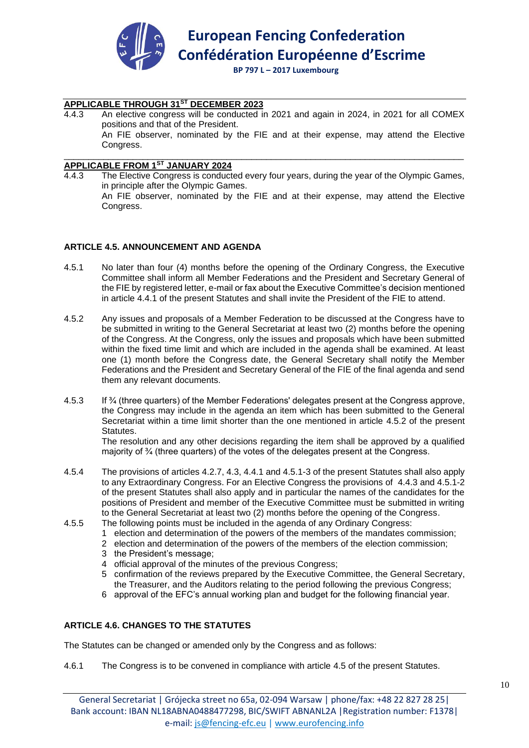

# **APPLICABLE THROUGH 31ST DECEMBER 2023**

4.4.3 An elective congress will be conducted in 2021 and again in 2024, in 2021 for all COMEX positions and that of the President. An FIE observer, nominated by the FIE and at their expense, may attend the Elective Congress.

#### \_\_\_\_\_\_\_\_\_\_\_\_\_\_\_\_\_\_\_\_\_\_\_\_\_\_\_\_\_\_\_\_\_\_\_\_\_\_\_\_\_\_\_\_\_\_\_\_\_\_\_\_\_\_\_\_\_\_\_\_\_\_\_\_\_\_\_\_\_\_\_\_\_\_\_\_\_\_\_\_\_ **APPLICABLE FROM 1ST JANUARY 2024**

4.4.3 The Elective Congress is conducted every four years, during the year of the Olympic Games, in principle after the Olympic Games. An FIE observer, nominated by the FIE and at their expense, may attend the Elective Congress.

#### **ARTICLE 4.5. ANNOUNCEMENT AND AGENDA**

- 4.5.1 No later than four (4) months before the opening of the Ordinary Congress, the Executive Committee shall inform all Member Federations and the President and Secretary General of the FIE by registered letter, e-mail or fax about the Executive Committee's decision mentioned in article 4.4.1 of the present Statutes and shall invite the President of the FIE to attend.
- 4.5.2 Any issues and proposals of a Member Federation to be discussed at the Congress have to be submitted in writing to the General Secretariat at least two (2) months before the opening of the Congress. At the Congress, only the issues and proposals which have been submitted within the fixed time limit and which are included in the agenda shall be examined. At least one (1) month before the Congress date, the General Secretary shall notify the Member Federations and the President and Secretary General of the FIE of the final agenda and send them any relevant documents.
- 4.5.3 If ¾ (three quarters) of the Member Federations' delegates present at the Congress approve, the Congress may include in the agenda an item which has been submitted to the General Secretariat within a time limit shorter than the one mentioned in article 4.5.2 of the present Statutes.

The resolution and any other decisions regarding the item shall be approved by a qualified majority of 3⁄4 (three quarters) of the votes of the delegates present at the Congress.

- 4.5.4 The provisions of articles 4.2.7, 4.3, 4.4.1 and 4.5.1-3 of the present Statutes shall also apply to any Extraordinary Congress. For an Elective Congress the provisions of 4.4.3 and 4.5.1-2 of the present Statutes shall also apply and in particular the names of the candidates for the positions of President and member of the Executive Committee must be submitted in writing to the General Secretariat at least two (2) months before the opening of the Congress.
- 4.5.5 The following points must be included in the agenda of any Ordinary Congress:
	- 1 election and determination of the powers of the members of the mandates commission;
	- 2 election and determination of the powers of the members of the election commission;
	- 3 the President's message;
	- 4 official approval of the minutes of the previous Congress;
	- 5 confirmation of the reviews prepared by the Executive Committee, the General Secretary, the Treasurer, and the Auditors relating to the period following the previous Congress;
	- 6 approval of the EFC's annual working plan and budget for the following financial year.

# **ARTICLE 4.6. CHANGES TO THE STATUTES**

The Statutes can be changed or amended only by the Congress and as follows:

4.6.1 The Congress is to be convened in compliance with article 4.5 of the present Statutes.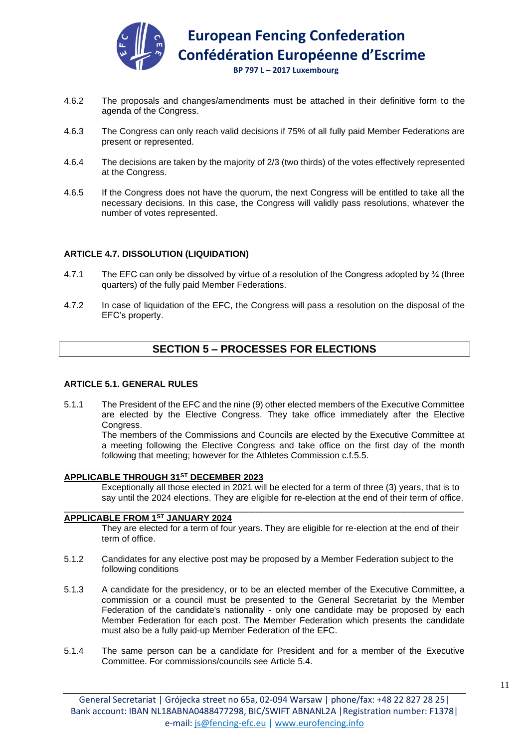

- 4.6.2 The proposals and changes/amendments must be attached in their definitive form to the agenda of the Congress.
- 4.6.3 The Congress can only reach valid decisions if 75% of all fully paid Member Federations are present or represented.
- 4.6.4 The decisions are taken by the majority of 2/3 (two thirds) of the votes effectively represented at the Congress.
- 4.6.5 If the Congress does not have the quorum, the next Congress will be entitled to take all the necessary decisions. In this case, the Congress will validly pass resolutions, whatever the number of votes represented.

#### **ARTICLE 4.7. DISSOLUTION (LIQUIDATION)**

- 4.7.1 The EFC can only be dissolved by virtue of a resolution of the Congress adopted by ¾ (three quarters) of the fully paid Member Federations.
- 4.7.2 In case of liquidation of the EFC, the Congress will pass a resolution on the disposal of the EFC's property.

# **SECTION 5 – PROCESSES FOR ELECTIONS**

#### **ARTICLE 5.1. GENERAL RULES**

5.1.1 The President of the EFC and the nine (9) other elected members of the Executive Committee are elected by the Elective Congress. They take office immediately after the Elective Congress.

The members of the Commissions and Councils are elected by the Executive Committee at a meeting following the Elective Congress and take office on the first day of the month following that meeting; however for the Athletes Commission c.f.5.5.

# **APPLICABLE THROUGH 31ST DECEMBER 2023**

Exceptionally all those elected in 2021 will be elected for a term of three (3) years, that is to say until the 2024 elections. They are eligible for re-election at the end of their term of office.

# **APPLICABLE FROM 1ST JANUARY 2024**

They are elected for a term of four years. They are eligible for re-election at the end of their term of office.

5.1.2 Candidates for any elective post may be proposed by a Member Federation subject to the following conditions

\_\_\_\_\_\_\_\_\_\_\_\_\_\_\_\_\_\_\_\_\_\_\_\_\_\_\_\_\_\_\_\_\_\_\_\_\_\_\_\_\_\_\_\_\_\_\_\_\_\_\_\_\_\_\_\_\_\_\_\_\_\_\_\_\_\_\_\_\_\_\_\_\_\_\_\_\_\_\_\_\_

- 5.1.3 A candidate for the presidency, or to be an elected member of the Executive Committee, a commission or a council must be presented to the General Secretariat by the Member Federation of the candidate's nationality - only one candidate may be proposed by each Member Federation for each post. The Member Federation which presents the candidate must also be a fully paid-up Member Federation of the EFC.
- 5.1.4 The same person can be a candidate for President and for a member of the Executive Committee. For commissions/councils see Article 5.4.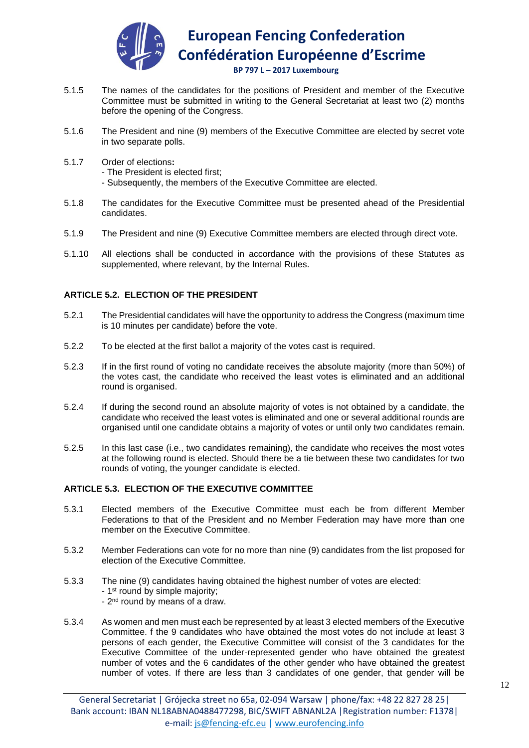

 **BP 797 L – 2017 Luxembourg**

- 5.1.5 The names of the candidates for the positions of President and member of the Executive Committee must be submitted in writing to the General Secretariat at least two (2) months before the opening of the Congress.
- 5.1.6 The President and nine (9) members of the Executive Committee are elected by secret vote in two separate polls.
- 5.1.7 Order of elections**:** 
	- The President is elected first;
	- Subsequently, the members of the Executive Committee are elected.
- 5.1.8 The candidates for the Executive Committee must be presented ahead of the Presidential candidates.
- 5.1.9 The President and nine (9) Executive Committee members are elected through direct vote.
- 5.1.10 All elections shall be conducted in accordance with the provisions of these Statutes as supplemented, where relevant, by the Internal Rules.

# **ARTICLE 5.2. ELECTION OF THE PRESIDENT**

- 5.2.1 The Presidential candidates will have the opportunity to address the Congress (maximum time is 10 minutes per candidate) before the vote.
- 5.2.2 To be elected at the first ballot a majority of the votes cast is required.
- 5.2.3 If in the first round of voting no candidate receives the absolute majority (more than 50%) of the votes cast, the candidate who received the least votes is eliminated and an additional round is organised.
- 5.2.4 If during the second round an absolute majority of votes is not obtained by a candidate, the candidate who received the least votes is eliminated and one or several additional rounds are organised until one candidate obtains a majority of votes or until only two candidates remain.
- 5.2.5 In this last case (i.e., two candidates remaining), the candidate who receives the most votes at the following round is elected. Should there be a tie between these two candidates for two rounds of voting, the younger candidate is elected.

# **ARTICLE 5.3. ELECTION OF THE EXECUTIVE COMMITTEE**

- 5.3.1 Elected members of the Executive Committee must each be from different Member Federations to that of the President and no Member Federation may have more than one member on the Executive Committee.
- 5.3.2 Member Federations can vote for no more than nine (9) candidates from the list proposed for election of the Executive Committee.
- 5.3.3 The nine (9) candidates having obtained the highest number of votes are elected: - 1<sup>st</sup> round by simple majority; - 2<sup>nd</sup> round by means of a draw.
- 5.3.4 As women and men must each be represented by at least 3 elected members of the Executive Committee. f the 9 candidates who have obtained the most votes do not include at least 3 persons of each gender, the Executive Committee will consist of the 3 candidates for the Executive Committee of the under-represented gender who have obtained the greatest number of votes and the 6 candidates of the other gender who have obtained the greatest number of votes. If there are less than 3 candidates of one gender, that gender will be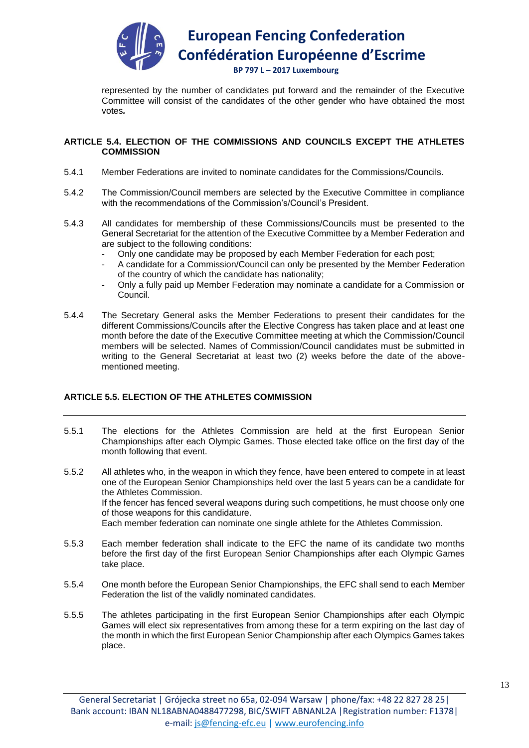

represented by the number of candidates put forward and the remainder of the Executive Committee will consist of the candidates of the other gender who have obtained the most votes*.*

#### **ARTICLE 5.4. ELECTION OF THE COMMISSIONS AND COUNCILS EXCEPT THE ATHLETES COMMISSION**

- 5.4.1 Member Federations are invited to nominate candidates for the Commissions/Councils.
- 5.4.2 The Commission/Council members are selected by the Executive Committee in compliance with the recommendations of the Commission's/Council's President.
- 5.4.3 All candidates for membership of these Commissions/Councils must be presented to the General Secretariat for the attention of the Executive Committee by a Member Federation and are subject to the following conditions:
	- Only one candidate may be proposed by each Member Federation for each post;
	- A candidate for a Commission/Council can only be presented by the Member Federation of the country of which the candidate has nationality;
	- Only a fully paid up Member Federation may nominate a candidate for a Commission or Council.
- 5.4.4 The Secretary General asks the Member Federations to present their candidates for the different Commissions/Councils after the Elective Congress has taken place and at least one month before the date of the Executive Committee meeting at which the Commission/Council members will be selected. Names of Commission/Council candidates must be submitted in writing to the General Secretariat at least two (2) weeks before the date of the abovementioned meeting.

# **ARTICLE 5.5. ELECTION OF THE ATHLETES COMMISSION**

- 5.5.1 The elections for the Athletes Commission are held at the first European Senior Championships after each Olympic Games. Those elected take office on the first day of the month following that event.
- 5.5.2 All athletes who, in the weapon in which they fence, have been entered to compete in at least one of the European Senior Championships held over the last 5 years can be a candidate for the Athletes Commission. If the fencer has fenced several weapons during such competitions, he must choose only one of those weapons for this candidature. Each member federation can nominate one single athlete for the Athletes Commission.
- 5.5.3 Each member federation shall indicate to the EFC the name of its candidate two months before the first day of the first European Senior Championships after each Olympic Games take place.
- 5.5.4 One month before the European Senior Championships, the EFC shall send to each Member Federation the list of the validly nominated candidates.
- 5.5.5 The athletes participating in the first European Senior Championships after each Olympic Games will elect six representatives from among these for a term expiring on the last day of the month in which the first European Senior Championship after each Olympics Games takes place.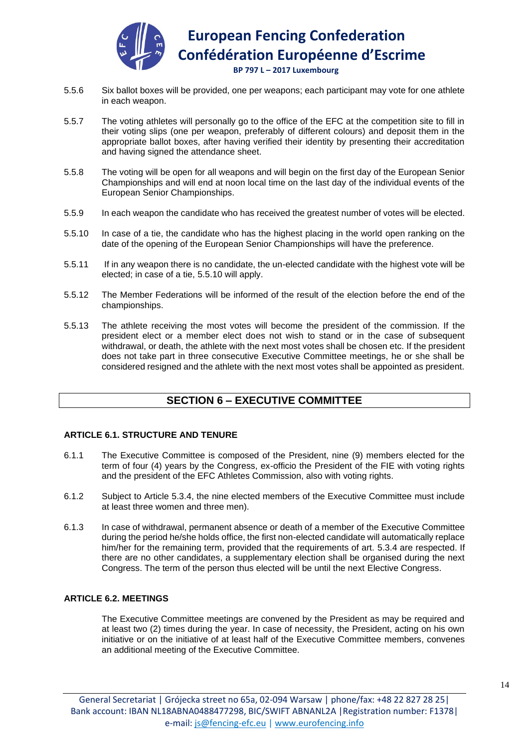

 **BP 797 L – 2017 Luxembourg**

- 5.5.6 Six ballot boxes will be provided, one per weapons; each participant may vote for one athlete in each weapon.
- 5.5.7 The voting athletes will personally go to the office of the EFC at the competition site to fill in their voting slips (one per weapon, preferably of different colours) and deposit them in the appropriate ballot boxes, after having verified their identity by presenting their accreditation and having signed the attendance sheet.
- 5.5.8 The voting will be open for all weapons and will begin on the first day of the European Senior Championships and will end at noon local time on the last day of the individual events of the European Senior Championships.
- 5.5.9 In each weapon the candidate who has received the greatest number of votes will be elected.
- 5.5.10 In case of a tie, the candidate who has the highest placing in the world open ranking on the date of the opening of the European Senior Championships will have the preference.
- 5.5.11 If in any weapon there is no candidate, the un-elected candidate with the highest vote will be elected; in case of a tie, 5.5.10 will apply.
- 5.5.12 The Member Federations will be informed of the result of the election before the end of the championships.
- 5.5.13 The athlete receiving the most votes will become the president of the commission. If the president elect or a member elect does not wish to stand or in the case of subsequent withdrawal, or death, the athlete with the next most votes shall be chosen etc. If the president does not take part in three consecutive Executive Committee meetings, he or she shall be considered resigned and the athlete with the next most votes shall be appointed as president.

# **SECTION 6 – EXECUTIVE COMMITTEE**

# **ARTICLE 6.1. STRUCTURE AND TENURE**

- 6.1.1 The Executive Committee is composed of the President, nine (9) members elected for the term of four (4) years by the Congress, ex-officio the President of the FIE with voting rights and the president of the EFC Athletes Commission, also with voting rights.
- 6.1.2 Subject to Article 5.3.4, the nine elected members of the Executive Committee must include at least three women and three men).
- 6.1.3 In case of withdrawal, permanent absence or death of a member of the Executive Committee during the period he/she holds office, the first non-elected candidate will automatically replace him/her for the remaining term, provided that the requirements of art. 5.3.4 are respected. If there are no other candidates, a supplementary election shall be organised during the next Congress. The term of the person thus elected will be until the next Elective Congress.

#### **ARTICLE 6.2. MEETINGS**

The Executive Committee meetings are convened by the President as may be required and at least two (2) times during the year. In case of necessity, the President, acting on his own initiative or on the initiative of at least half of the Executive Committee members, convenes an additional meeting of the Executive Committee.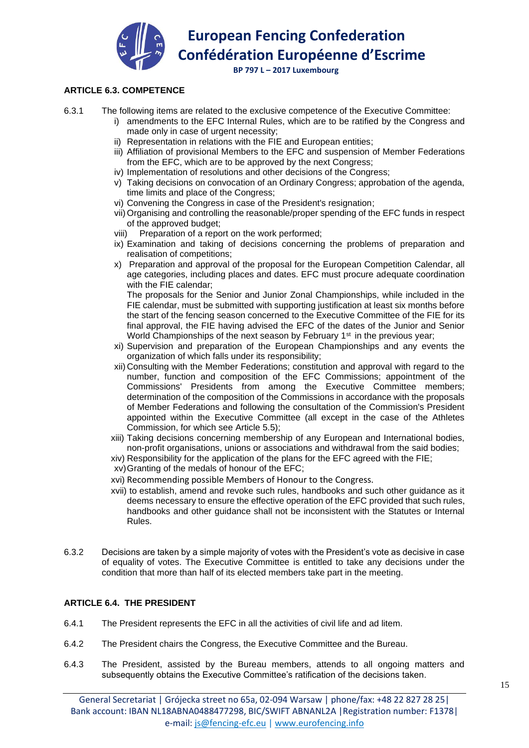

 **BP 797 L – 2017 Luxembourg**

# **ARTICLE 6.3. COMPETENCE**

6.3.1 The following items are related to the exclusive competence of the Executive Committee:

- i) amendments to the EFC Internal Rules, which are to be ratified by the Congress and made only in case of urgent necessity;
	- ii) Representation in relations with the FIE and European entities;
	- iii) Affiliation of provisional Members to the EFC and suspension of Member Federations from the EFC, which are to be approved by the next Congress;
	- iv) Implementation of resolutions and other decisions of the Congress;
	- v) Taking decisions on convocation of an Ordinary Congress; approbation of the agenda, time limits and place of the Congress;
	- vi) Convening the Congress in case of the President's resignation;
	- vii) Organising and controlling the reasonable/proper spending of the EFC funds in respect of the approved budget;
	- viii) Preparation of a report on the work performed;
	- ix) Examination and taking of decisions concerning the problems of preparation and realisation of competitions;
	- x) Preparation and approval of the proposal for the European Competition Calendar, all age categories, including places and dates. EFC must procure adequate coordination with the FIE calendar;

The proposals for the Senior and Junior Zonal Championships, while included in the FIE calendar, must be submitted with supporting justification at least six months before the start of the fencing season concerned to the Executive Committee of the FIE for its final approval, the FIE having advised the EFC of the dates of the Junior and Senior World Championships of the next season by February 1<sup>st</sup> in the previous year;

- xi) Supervision and preparation of the European Championships and any events the organization of which falls under its responsibility;
- xii) Consulting with the Member Federations; constitution and approval with regard to the number, function and composition of the EFC Commissions; appointment of the Commissions' Presidents from among the Executive Committee members; determination of the composition of the Commissions in accordance with the proposals of Member Federations and following the consultation of the Commission's President appointed within the Executive Committee (all except in the case of the Athletes Commission, for which see Article 5.5);
- xiii) Taking decisions concerning membership of any European and International bodies, non-profit organisations, unions or associations and withdrawal from the said bodies;
- xiv) Responsibility for the application of the plans for the EFC agreed with the FIE;
- xv)Granting of the medals of honour of the EFC;
- xvi) Recommending possible Members of Honour to the Congress.
- xvii) to establish, amend and revoke such rules, handbooks and such other guidance as it deems necessary to ensure the effective operation of the EFC provided that such rules, handbooks and other guidance shall not be inconsistent with the Statutes or Internal Rules.
- 6.3.2 Decisions are taken by a simple majority of votes with the President's vote as decisive in case of equality of votes. The Executive Committee is entitled to take any decisions under the condition that more than half of its elected members take part in the meeting.

# **ARTICLE 6.4. THE PRESIDENT**

- 6.4.1 The President represents the EFC in all the activities of civil life and ad litem.
- 6.4.2 The President chairs the Congress, the Executive Committee and the Bureau.
- 6.4.3 The President, assisted by the Bureau members, attends to all ongoing matters and subsequently obtains the Executive Committee's ratification of the decisions taken.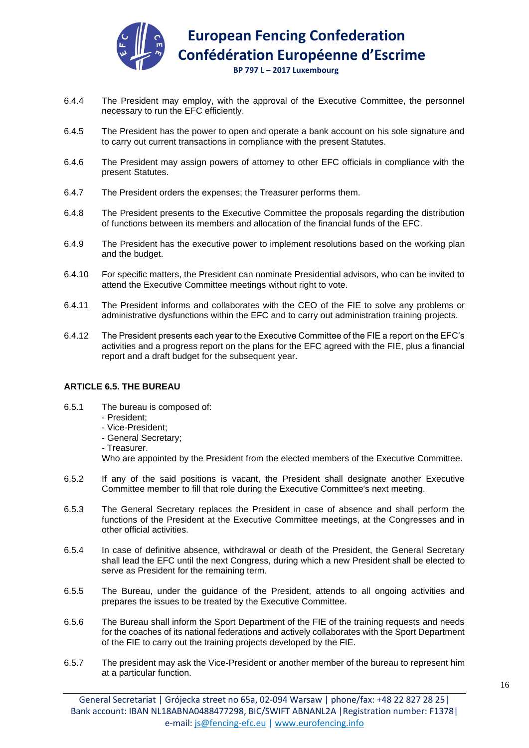

 **BP 797 L – 2017 Luxembourg**

- 6.4.4 The President may employ, with the approval of the Executive Committee, the personnel necessary to run the EFC efficiently.
- 6.4.5 The President has the power to open and operate a bank account on his sole signature and to carry out current transactions in compliance with the present Statutes.
- 6.4.6 The President may assign powers of attorney to other EFC officials in compliance with the present Statutes.
- 6.4.7 The President orders the expenses; the Treasurer performs them.
- 6.4.8 The President presents to the Executive Committee the proposals regarding the distribution of functions between its members and allocation of the financial funds of the EFC.
- 6.4.9 The President has the executive power to implement resolutions based on the working plan and the budget.
- 6.4.10 For specific matters, the President can nominate Presidential advisors, who can be invited to attend the Executive Committee meetings without right to vote.
- 6.4.11 The President informs and collaborates with the CEO of the FIE to solve any problems or administrative dysfunctions within the EFC and to carry out administration training projects.
- 6.4.12 The President presents each year to the Executive Committee of the FIE a report on the EFC's activities and a progress report on the plans for the EFC agreed with the FIE, plus a financial report and a draft budget for the subsequent year.

# **ARTICLE 6.5. THE BUREAU**

- 6.5.1 The bureau is composed of:
	- President;
	- Vice-President;
	- General Secretary;
	- Treasurer.

Who are appointed by the President from the elected members of the Executive Committee.

- 6.5.2 If any of the said positions is vacant, the President shall designate another Executive Committee member to fill that role during the Executive Committee's next meeting.
- 6.5.3 The General Secretary replaces the President in case of absence and shall perform the functions of the President at the Executive Committee meetings, at the Congresses and in other official activities.
- 6.5.4 In case of definitive absence, withdrawal or death of the President, the General Secretary shall lead the EFC until the next Congress, during which a new President shall be elected to serve as President for the remaining term.
- 6.5.5 The Bureau, under the guidance of the President, attends to all ongoing activities and prepares the issues to be treated by the Executive Committee.
- 6.5.6 The Bureau shall inform the Sport Department of the FIE of the training requests and needs for the coaches of its national federations and actively collaborates with the Sport Department of the FIE to carry out the training projects developed by the FIE.
- 6.5.7 The president may ask the Vice-President or another member of the bureau to represent him at a particular function.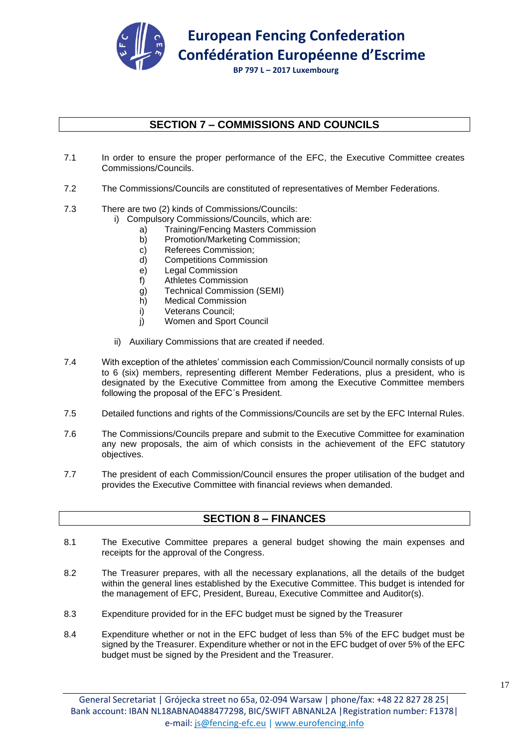

# **SECTION 7 – COMMISSIONS AND COUNCILS**

- 7.1 In order to ensure the proper performance of the EFC, the Executive Committee creates Commissions/Councils.
- 7.2 The Commissions/Councils are constituted of representatives of Member Federations.
- 7.3 There are two (2) kinds of Commissions/Councils:
	- i) Compulsory Commissions/Councils, which are:
		- a) Training/Fencing Masters Commission
		- b) Promotion/Marketing Commission;
		- c) Referees Commission;
		- d) Competitions Commission
		- e) Legal Commission
		- f) Athletes Commission
		- g) Technical Commission (SEMI)
		- h) Medical Commission
		- i) Veterans Council;
		- j) Women and Sport Council
	- ii) Auxiliary Commissions that are created if needed.
- 7.4 With exception of the athletes' commission each Commission/Council normally consists of up to 6 (six) members, representing different Member Federations, plus a president, who is designated by the Executive Committee from among the Executive Committee members following the proposal of the EFC´s President.
- 7.5 Detailed functions and rights of the Commissions/Councils are set by the EFC Internal Rules.
- 7.6 The Commissions/Councils prepare and submit to the Executive Committee for examination any new proposals, the aim of which consists in the achievement of the EFC statutory objectives.
- 7.7 The president of each Commission/Council ensures the proper utilisation of the budget and provides the Executive Committee with financial reviews when demanded.

# **SECTION 8 – FINANCES**

- 8.1 The Executive Committee prepares a general budget showing the main expenses and receipts for the approval of the Congress.
- 8.2 The Treasurer prepares, with all the necessary explanations, all the details of the budget within the general lines established by the Executive Committee. This budget is intended for the management of EFC, President, Bureau, Executive Committee and Auditor(s).
- 8.3 Expenditure provided for in the EFC budget must be signed by the Treasurer
- 8.4 Expenditure whether or not in the EFC budget of less than 5% of the EFC budget must be signed by the Treasurer. Expenditure whether or not in the EFC budget of over 5% of the EFC budget must be signed by the President and the Treasurer.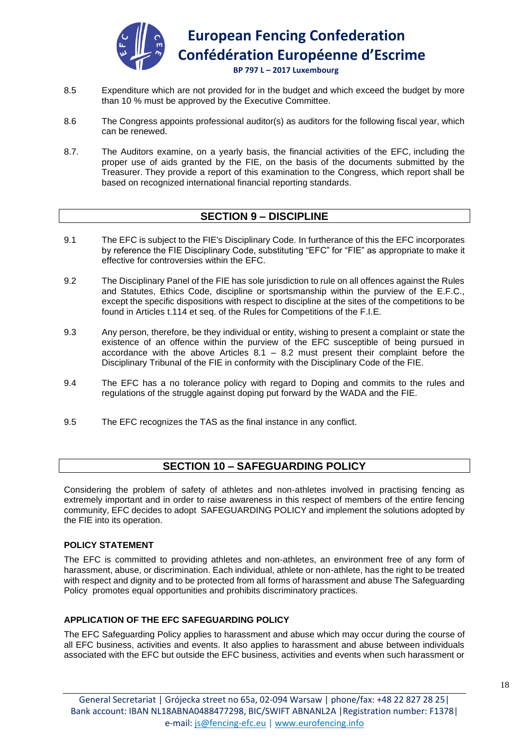

- 8.5 Expenditure which are not provided for in the budget and which exceed the budget by more than 10 % must be approved by the Executive Committee.
- 8.6 The Congress appoints professional auditor(s) as auditors for the following fiscal year, which can be renewed.
- 8.7. The Auditors examine, on a yearly basis, the financial activities of the EFC, including the proper use of aids granted by the FIE, on the basis of the documents submitted by the Treasurer. They provide a report of this examination to the Congress, which report shall be based on recognized international financial reporting standards.

# **SECTION 9 – DISCIPLINE**

- 9.1 The EFC is subject to the FIE's Disciplinary Code. In furtherance of this the EFC incorporates by reference the FIE Disciplinary Code, substituting "EFC" for "FIE" as appropriate to make it effective for controversies within the EFC.
- 9.2 The Disciplinary Panel of the FIE has sole jurisdiction to rule on all offences against the Rules and Statutes, Ethics Code, discipline or sportsmanship within the purview of the E.F.C., except the specific dispositions with respect to discipline at the sites of the competitions to be found in Articles t.114 et seq. of the Rules for Competitions of the F.I.E.
- 9.3 Any person, therefore, be they individual or entity, wishing to present a complaint or state the existence of an offence within the purview of the EFC susceptible of being pursued in accordance with the above Articles 8.1 – 8.2 must present their complaint before the Disciplinary Tribunal of the FIE in conformity with the Disciplinary Code of the FIE.
- 9.4 The EFC has a no tolerance policy with regard to Doping and commits to the rules and regulations of the struggle against doping put forward by the WADA and the FIE.
- 9.5 The EFC recognizes the TAS as the final instance in any conflict.

# **SECTION 10 – SAFEGUARDING POLICY**

Considering the problem of safety of athletes and non-athletes involved in practising fencing as extremely important and in order to raise awareness in this respect of members of the entire fencing community, EFC decides to adopt SAFEGUARDING POLICY and implement the solutions adopted by the FIE into its operation.

# **POLICY STATEMENT**

The EFC is committed to providing athletes and non-athletes, an environment free of any form of harassment, abuse, or discrimination. Each individual, athlete or non-athlete, has the right to be treated with respect and dignity and to be protected from all forms of harassment and abuse The Safeguarding Policy promotes equal opportunities and prohibits discriminatory practices.

# **APPLICATION OF THE EFC SAFEGUARDING POLICY**

The EFC Safeguarding Policy applies to harassment and abuse which may occur during the course of all EFC business, activities and events. It also applies to harassment and abuse between individuals associated with the EFC but outside the EFC business, activities and events when such harassment or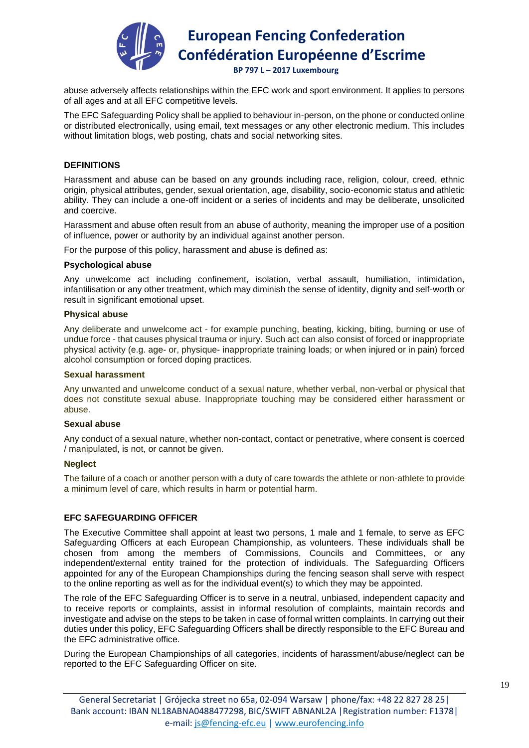

 **BP 797 L – 2017 Luxembourg**

abuse adversely affects relationships within the EFC work and sport environment. It applies to persons of all ages and at all EFC competitive levels.

The EFC Safeguarding Policy shall be applied to behaviour in-person, on the phone or conducted online or distributed electronically, using email, text messages or any other electronic medium. This includes without limitation blogs, web posting, chats and social networking sites.

#### **DEFINITIONS**

Harassment and abuse can be based on any grounds including race, religion, colour, creed, ethnic origin, physical attributes, gender, sexual orientation, age, disability, socio-economic status and athletic ability. They can include a one-off incident or a series of incidents and may be deliberate, unsolicited and coercive.

Harassment and abuse often result from an abuse of authority, meaning the improper use of a position of influence, power or authority by an individual against another person.

For the purpose of this policy, harassment and abuse is defined as:

#### **Psychological abuse**

Any unwelcome act including confinement, isolation, verbal assault, humiliation, intimidation, infantilisation or any other treatment, which may diminish the sense of identity, dignity and self-worth or result in significant emotional upset.

#### **Physical abuse**

Any deliberate and unwelcome act - for example punching, beating, kicking, biting, burning or use of undue force - that causes physical trauma or injury. Such act can also consist of forced or inappropriate physical activity (e.g. age- or, physique- inappropriate training loads; or when injured or in pain) forced alcohol consumption or forced doping practices.

#### **Sexual harassment**

Any unwanted and unwelcome conduct of a sexual nature, whether verbal, non-verbal or physical that does not constitute sexual abuse. Inappropriate touching may be considered either harassment or abuse.

#### **Sexual abuse**

Any conduct of a sexual nature, whether non-contact, contact or penetrative, where consent is coerced / manipulated, is not, or cannot be given.

#### **Neglect**

The failure of a coach or another person with a duty of care towards the athlete or non-athlete to provide a minimum level of care, which results in harm or potential harm.

#### **EFC SAFEGUARDING OFFICER**

The Executive Committee shall appoint at least two persons, 1 male and 1 female, to serve as EFC Safeguarding Officers at each European Championship, as volunteers. These individuals shall be chosen from among the members of Commissions, Councils and Committees, or any independent/external entity trained for the protection of individuals. The Safeguarding Officers appointed for any of the European Championships during the fencing season shall serve with respect to the online reporting as well as for the individual event(s) to which they may be appointed.

The role of the EFC Safeguarding Officer is to serve in a neutral, unbiased, independent capacity and to receive reports or complaints, assist in informal resolution of complaints, maintain records and investigate and advise on the steps to be taken in case of formal written complaints. In carrying out their duties under this policy, EFC Safeguarding Officers shall be directly responsible to the EFC Bureau and the EFC administrative office.

During the European Championships of all categories, incidents of harassment/abuse/neglect can be reported to the EFC Safeguarding Officer on site.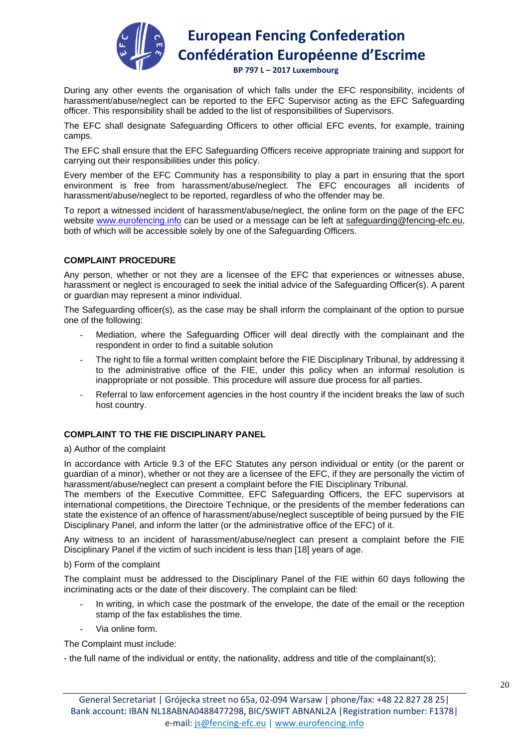

 **BP 797 L – 2017 Luxembourg**

During any other events the organisation of which falls under the EFC responsibility, incidents of harassment/abuse/neglect can be reported to the EFC Supervisor acting as the EFC Safeguarding officer. This responsibility shall be added to the list of responsibilities of Supervisors.

The EFC shall designate Safeguarding Officers to other official EFC events, for example, training camps.

The EFC shall ensure that the EFC Safeguarding Officers receive appropriate training and support for carrying out their responsibilities under this policy.

Every member of the EFC Community has a responsibility to play a part in ensuring that the sport environment is free from harassment/abuse/neglect. The EFC encourages all incidents of harassment/abuse/neglect to be reported, regardless of who the offender may be.

To report a witnessed incident of harassment/abuse/neglect, the online form on the page of the EFC website www.eurofencing.info can be used or a message can be left at safeguarding@fencing-efc.eu, both of which will be accessible solely by one of the Safeguarding Officers.

# **COMPLAINT PROCEDURE**

Any person, whether or not they are a licensee of the EFC that experiences or witnesses abuse, harassment or neglect is encouraged to seek the initial advice of the Safeguarding Officer(s). A parent or guardian may represent a minor individual.

The Safeguarding officer(s), as the case may be shall inform the complainant of the option to pursue one of the following:

- Mediation, where the Safeguarding Officer will deal directly with the complainant and the respondent in order to find a suitable solution
- The right to file a formal written complaint before the FIE Disciplinary Tribunal, by addressing it to the administrative office of the FIE, under this policy when an informal resolution is inappropriate or not possible. This procedure will assure due process for all parties.
- Referral to law enforcement agencies in the host country if the incident breaks the law of such host country.

# **COMPLAINT TO THE FIE DISCIPLINARY PANEL**

#### a) Author of the complaint

In accordance with Article 9.3 of the EFC Statutes any person individual or entity (or the parent or guardian of a minor), whether or not they are a licensee of the EFC, if they are personally the victim of harassment/abuse/neglect can present a complaint before the FIE Disciplinary Tribunal.

The members of the Executive Committee, EFC Safeguarding Officers, the EFC supervisors at international competitions, the Directoire Technique, or the presidents of the member federations can state the existence of an offence of harassment/abuse/neglect susceptible of being pursued by the FIE Disciplinary Panel, and inform the latter (or the administrative office of the EFC) of it.

Any witness to an incident of harassment/abuse/neglect can present a complaint before the FIE Disciplinary Panel if the victim of such incident is less than [18] years of age.

#### b) Form of the complaint

The complaint must be addressed to the Disciplinary Panel of the FIE within 60 days following the incriminating acts or the date of their discovery. The complaint can be filed:

- In writing, in which case the postmark of the envelope, the date of the email or the reception stamp of the fax establishes the time.
- Via online form.

The Complaint must include:

- the full name of the individual or entity, the nationality, address and title of the complainant(s);